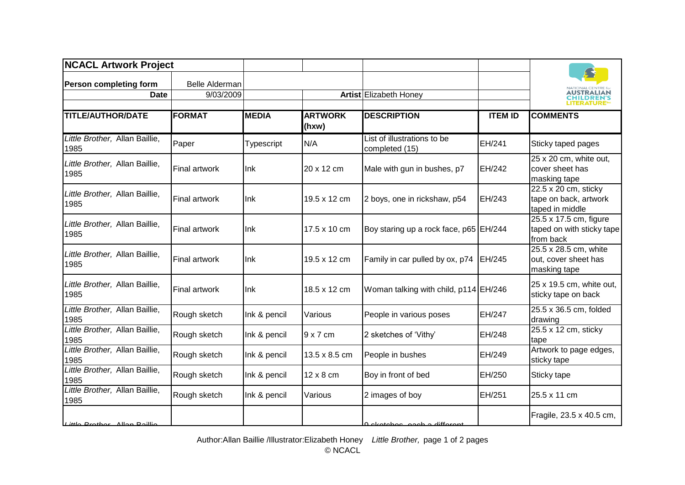| <b>NCACL Artwork Project</b>           |                       |              |                         |                                               |                |                                                                         |
|----------------------------------------|-----------------------|--------------|-------------------------|-----------------------------------------------|----------------|-------------------------------------------------------------------------|
| Person completing form                 | <b>Belle Alderman</b> |              |                         |                                               |                |                                                                         |
| <b>Date</b>                            | 9/03/2009             |              |                         | Artist Elizabeth Honey                        |                | AUSTRALIAN<br><b>HILDREN'S</b><br>I ITERATI IRE                         |
| <b>TITLE/AUTHOR/DATE</b>               | <b>FORMAT</b>         | <b>MEDIA</b> | <b>ARTWORK</b><br>(hxw) | <b>DESCRIPTION</b>                            | <b>ITEM ID</b> | <b>COMMENTS</b>                                                         |
| Little Brother, Allan Baillie,<br>1985 | Paper                 | Typescript   | N/A                     | List of illustrations to be<br>completed (15) | EH/241         | Sticky taped pages                                                      |
| Little Brother, Allan Baillie,<br>1985 | Final artwork         | Ink          | 20 x 12 cm              | Male with gun in bushes, p7                   | EH/242         | 25 x 20 cm, white out,<br>cover sheet has<br>masking tape               |
| Little Brother, Allan Baillie,<br>1985 | <b>Final artwork</b>  | Ink          | 19.5 x 12 cm            | 2 boys, one in rickshaw, p54                  | EH/243         | $22.5 \times 20$ cm, sticky<br>tape on back, artwork<br>taped in middle |
| Little Brother, Allan Baillie,<br>1985 | Final artwork         | Ink          | 17.5 x 10 cm            | Boy staring up a rock face, p65 EH/244        |                | 25.5 x 17.5 cm, figure<br>taped on with sticky tape<br>from back        |
| Little Brother, Allan Baillie,<br>1985 | <b>Final artwork</b>  | Ink          | 19.5 x 12 cm            | Family in car pulled by ox, p74               | EH/245         | 25.5 x 28.5 cm, white<br>out, cover sheet has<br>masking tape           |
| Little Brother, Allan Baillie,<br>1985 | Final artwork         | Ink          | 18.5 x 12 cm            | Woman talking with child, p114 EH/246         |                | 25 x 19.5 cm, white out,<br>sticky tape on back                         |
| Little Brother, Allan Baillie,<br>1985 | Rough sketch          | Ink & pencil | Various                 | People in various poses                       | EH/247         | 25.5 x 36.5 cm, folded<br>drawing                                       |
| Little Brother, Allan Baillie,<br>1985 | Rough sketch          | Ink & pencil | $9 \times 7$ cm         | 2 sketches of 'Vithy'                         | EH/248         | 25.5 x 12 cm, sticky<br>tape                                            |
| Little Brother, Allan Baillie,<br>1985 | Rough sketch          | Ink & pencil | 13.5 x 8.5 cm           | People in bushes                              | EH/249         | Artwork to page edges,<br>sticky tape                                   |
| Little Brother, Allan Baillie,<br>1985 | Rough sketch          | Ink & pencil | 12 x 8 cm               | Boy in front of bed                           | EH/250         | Sticky tape                                                             |
| Little Brother, Allan Baillie,<br>1985 | Rough sketch          | Ink & pencil | Various                 | 2 images of boy                               | EH/251         | 25.5 x 11 cm                                                            |
| Little Prother Allen Poillie           |                       |              |                         | a akataban angka different                    |                | Fragile, 23.5 x 40.5 cm,                                                |

<sup>1985</sup> Rough sketch Ink & pencil Various 9 sketches, each a different scene, includes text EH/252 Author:Allan Baillie /Illustrator:Elizabeth Honey *Little Brother,* page 1 of 2 pages © NCACL